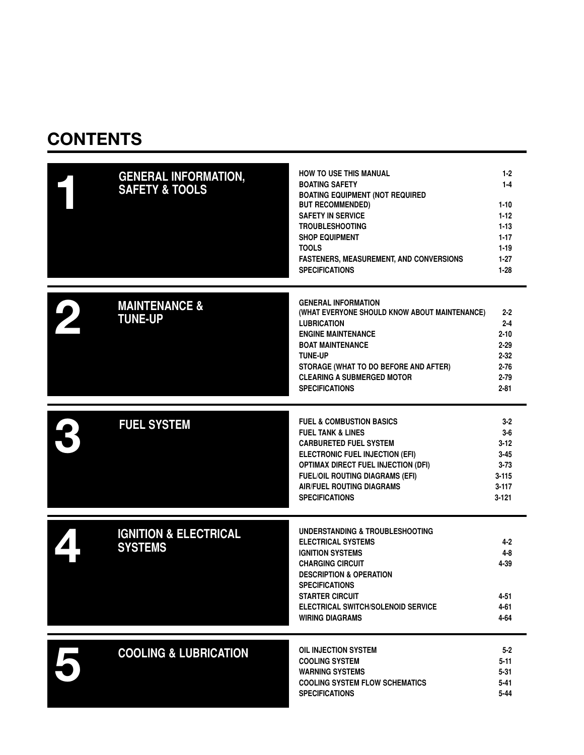### **CONTENTS**

| <b>GENERAL INFORMATION,</b><br><b>SAFETY &amp; TOOLS</b> | HOW TO USE THIS MANUAL<br><b>BOATING SAFETY</b><br><b>BOATING EQUIPMENT (NOT REQUIRED</b><br><b>BUT RECOMMENDED)</b><br><b>SAFETY IN SERVICE</b><br><b>TROUBLESHOOTING</b><br><b>SHOP EQUIPMENT</b><br><b>TOOLS</b><br><b>FASTENERS, MEASUREMENT, AND CONVERSIONS</b><br><b>SPECIFICATIONS</b>      | $1 - 2$<br>$1 - 4$<br>$1 - 10$<br>$1 - 12$<br>$1 - 13$<br>$1 - 17$<br>$1 - 19$<br>$1-27$<br>$1 - 28$ |
|----------------------------------------------------------|-----------------------------------------------------------------------------------------------------------------------------------------------------------------------------------------------------------------------------------------------------------------------------------------------------|------------------------------------------------------------------------------------------------------|
| <b>MAINTENANCE &amp;</b><br><b>TUNE-UP</b>               | <b>GENERAL INFORMATION</b><br>(WHAT EVERYONE SHOULD KNOW ABOUT MAINTENANCE)<br><b>LUBRICATION</b><br><b>ENGINE MAINTENANCE</b><br><b>BOAT MAINTENANCE</b><br><b>TUNE-UP</b><br>STORAGE (WHAT TO DO BEFORE AND AFTER)<br><b>CLEARING A SUBMERGED MOTOR</b><br><b>SPECIFICATIONS</b>                  | $2 - 2$<br>$2 - 4$<br>$2 - 10$<br>$2 - 29$<br>$2 - 32$<br>$2 - 76$<br>$2 - 79$<br>$2 - 81$           |
| <b>FUEL SYSTEM</b>                                       | <b>FUEL &amp; COMBUSTION BASICS</b><br><b>FUEL TANK &amp; LINES</b><br><b>CARBURETED FUEL SYSTEM</b><br><b>ELECTRONIC FUEL INJECTION (EFI)</b><br><b>OPTIMAX DIRECT FUEL INJECTION (DFI)</b><br><b>FUEL/OIL ROUTING DIAGRAMS (EFI)</b><br><b>AIR/FUEL ROUTING DIAGRAMS</b><br><b>SPECIFICATIONS</b> | $3 - 2$<br>$3-6$<br>$3 - 12$<br>$3 - 45$<br>$3 - 73$<br>$3 - 115$<br>$3 - 117$<br>$3 - 121$          |
| <b>IGNITION &amp; ELECTRICAL</b><br><b>SYSTEMS</b>       | UNDERSTANDING & TROUBLESHOOTING<br><b>ELECTRICAL SYSTEMS</b><br><b>IGNITION SYSTEMS</b><br><b>CHARGING CIRCUIT</b><br><b>DESCRIPTION &amp; OPERATION</b><br><b>SPECIFICATIONS</b><br><b>STARTER CIRCUIT</b><br>ELECTRICAL SWITCH/SOLENOID SERVICE<br><b>WIRING DIAGRAMS</b>                         | 4-2<br>4-8<br>4-39<br>4-51<br>4-61<br>4-64                                                           |
| <b>COOLING &amp; LUBRICATION</b>                         | <b>OIL INJECTION SYSTEM</b><br><b>COOLING SYSTEM</b><br><b>WARNING SYSTEMS</b><br><b>COOLING SYSTEM FLOW SCHEMATICS</b><br><b>SPECIFICATIONS</b>                                                                                                                                                    | $5 - 2$<br>$5 - 11$<br>$5 - 31$<br>$5 - 41$<br>$5 - 44$                                              |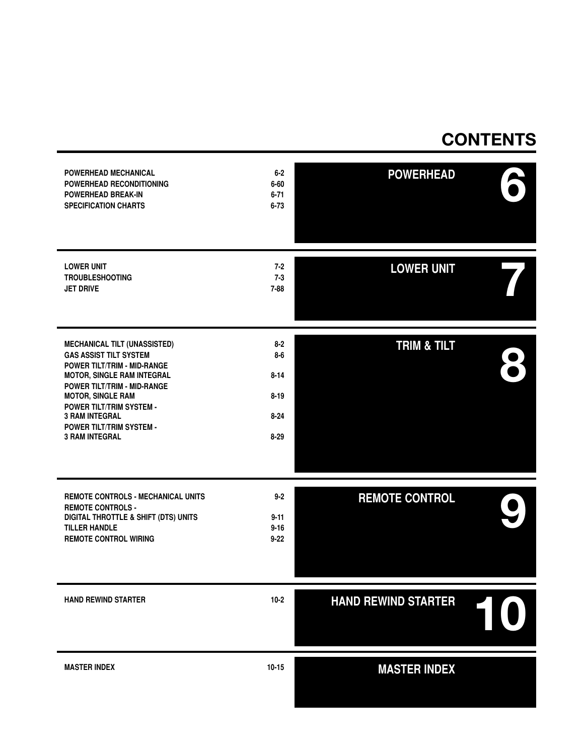### **CONTENTS**

| POWERHEAD MECHANICAL<br>POWERHEAD RECONDITIONING<br>POWERHEAD BREAK-IN<br><b>SPECIFICATION CHARTS</b>                                                                                                                                                                                                                       | $6-2$<br>$6 - 60$<br>$6 - 71$<br>$6 - 73$                      | <b>POWERHEAD</b>           |  |
|-----------------------------------------------------------------------------------------------------------------------------------------------------------------------------------------------------------------------------------------------------------------------------------------------------------------------------|----------------------------------------------------------------|----------------------------|--|
| <b>LOWER UNIT</b><br><b>TROUBLESHOOTING</b><br><b>JET DRIVE</b>                                                                                                                                                                                                                                                             | $7 - 2$<br>$7 - 3$<br>$7 - 88$                                 | <b>LOWER UNIT</b>          |  |
| <b>MECHANICAL TILT (UNASSISTED)</b><br><b>GAS ASSIST TILT SYSTEM</b><br>POWER TILT/TRIM - MID-RANGE<br><b>MOTOR, SINGLE RAM INTEGRAL</b><br>POWER TILT/TRIM - MID-RANGE<br><b>MOTOR, SINGLE RAM</b><br><b>POWER TILT/TRIM SYSTEM -</b><br><b>3 RAM INTEGRAL</b><br><b>POWER TILT/TRIM SYSTEM -</b><br><b>3 RAM INTEGRAL</b> | $8 - 2$<br>8-6<br>$8 - 14$<br>$8 - 19$<br>$8 - 24$<br>$8 - 29$ | <b>TRIM &amp; TILT</b>     |  |
| <b>REMOTE CONTROLS - MECHANICAL UNITS</b><br><b>REMOTE CONTROLS -</b><br>DIGITAL THROTTLE & SHIFT (DTS) UNITS<br><b>TILLER HANDLE</b><br><b>REMOTE CONTROL WIRING</b>                                                                                                                                                       | $9 - 2$<br>$9 - 11$<br>$9 - 16$<br>$9 - 22$                    | <b>REMOTE CONTROL</b>      |  |
| <b>HAND REWIND STARTER</b>                                                                                                                                                                                                                                                                                                  | $10 - 2$                                                       | <b>HAND REWIND STARTER</b> |  |
| <b>MASTER INDEX</b>                                                                                                                                                                                                                                                                                                         | $10 - 15$                                                      | <b>MASTER INDEX</b>        |  |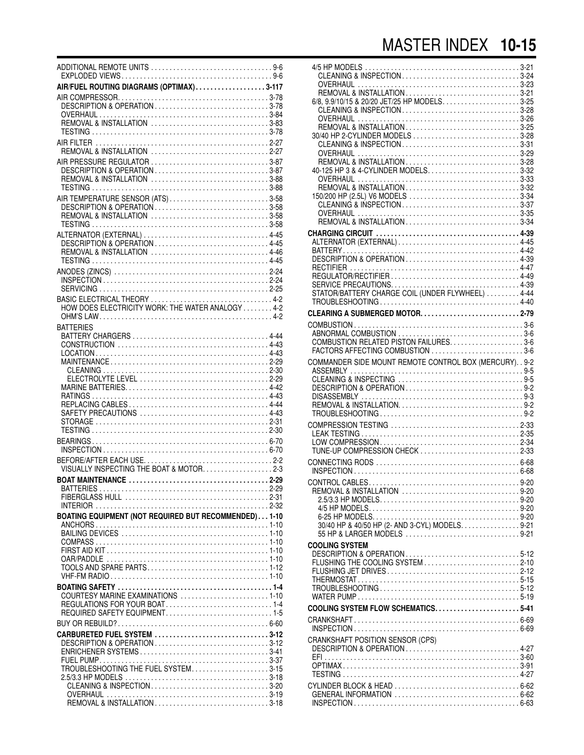| ADDITIONAL REMOTE UNITS 9-6                                                                |
|--------------------------------------------------------------------------------------------|
| AIR/FUEL ROUTING DIAGRAMS (OPTIMAX)3-117                                                   |
|                                                                                            |
|                                                                                            |
|                                                                                            |
| REMOVAL & INSTALLATION 2-27                                                                |
| AIR PRESSURE REGULATOR 3-87<br>DESCRIPTION & OPERATION 3-87<br>REMOVAL & INSTALLATION 3-88 |
| AIR TEMPERATURE SENSOR (ATS) 3-58                                                          |
| DESCRIPTION & OPERATION3-58<br>REMOVAL & INSTALLATION 3-58                                 |
| REMOVAL & INSTALLATION 4-46                                                                |
|                                                                                            |
|                                                                                            |
|                                                                                            |
| HOW DOES ELECTRICITY WORK: THE WATER ANALOGY 4-2                                           |
| <b>BATTERIES</b>                                                                           |
|                                                                                            |
|                                                                                            |
|                                                                                            |
|                                                                                            |
|                                                                                            |
|                                                                                            |
|                                                                                            |
|                                                                                            |
|                                                                                            |
| VISUALLY INSPECTING THE BOAT & MOTOR. 2-3                                                  |
|                                                                                            |
|                                                                                            |
| BOATING EQUIPMENT (NOT REQUIRED BUT RECOMMENDED) 1-10                                      |
|                                                                                            |
|                                                                                            |
|                                                                                            |
|                                                                                            |
|                                                                                            |
| COURTESY MARINE EXAMINATIONS 1-10                                                          |
| REQUIRED SAFETY EQUIPMENT1-5                                                               |
|                                                                                            |
| CARBURETED FUEL SYSTEM 3-12<br>DESCRIPTION & OPERATION3-12                                 |
|                                                                                            |
| TROUBLESHOOTING THE FUEL SYSTEM3-15                                                        |
| CLEANING & INSPECTION3-20                                                                  |
|                                                                                            |
|                                                                                            |

| CLEANING & INSPECTION3-24<br>CLEANING & INSPECTION3-28<br>30/40 HP 2-CYLINDER MODELS 3-28<br>150/200 HP (2.5L) V6 MODELS 3-34<br>CLEANING & INSPECTION3-37 |  |
|------------------------------------------------------------------------------------------------------------------------------------------------------------|--|
|                                                                                                                                                            |  |
|                                                                                                                                                            |  |
| COMBUSTION RELATED PISTON FAILURES. 3-6<br>FACTORS AFFECTING COMBUSTION 3-6                                                                                |  |
| COMMANDER SIDE MOUNT REMOTE CONTROL BOX (MERCURY). . 9-2                                                                                                   |  |
| TUNE-UP COMPRESSION CHECK 2-33                                                                                                                             |  |
|                                                                                                                                                            |  |
| 30/40 HP & 40/50 HP (2- AND 3-CYL) MODELS. 9-21                                                                                                            |  |
| <b>COOLING SYSTEM</b><br>DESCRIPTION & OPERATION5-12                                                                                                       |  |
|                                                                                                                                                            |  |
|                                                                                                                                                            |  |
| CRANKSHAFT POSITION SENSOR (CPS)<br>DESCRIPTION & OPERATION 4-27                                                                                           |  |
|                                                                                                                                                            |  |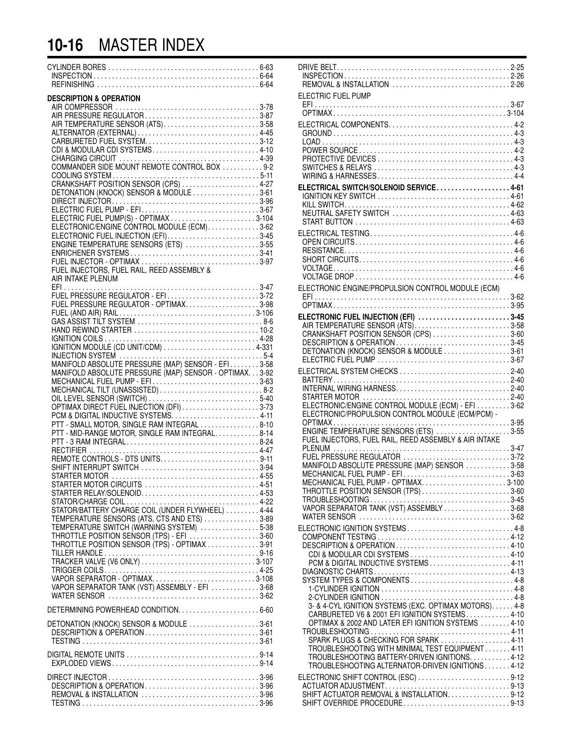### **10-16** MASTER INDEX

| <b>DESCRIPTION &amp; OPERATION</b><br>AIR TEMPERATURE SENSOR (ATS)3-58<br>CDI & MODULAR CDI SYSTEMS4-10<br>COMMANDER SIDE MOUNT REMOTE CONTROL BOX  9-2<br>CRANKSHAFT POSITION SENSOR (CPS) 4-27<br>DETONATION (KNOCK) SENSOR & MODULE 3-61<br>ELECTRONIC/ENGINE CONTROL MODULE (ECM)3-62<br>ENGINE TEMPERATURE SENSORS (ETS) 3-55<br>ENRICHENER SYSTEMS3-41<br>FUEL INJECTORS, FUEL RAIL, REED ASSEMBLY &                                                              |  |
|-------------------------------------------------------------------------------------------------------------------------------------------------------------------------------------------------------------------------------------------------------------------------------------------------------------------------------------------------------------------------------------------------------------------------------------------------------------------------|--|
| AIR INTAKE PLENUM<br>FUEL PRESSURE REGULATOR - EFI3-72<br>FUEL PRESSURE REGULATOR - OPTIMAX3-98<br>MANIFOLD ABSOLUTE PRESSURE (MAP) SENSOR - EFI3-58<br>MANIFOLD ABSOLUTE PRESSURE (MAP) SENSOR - OPTIMAX3-92<br>MECHANICAL FUEL PUMP - EFI3-63<br>MECHANICAL TILT (UNASSISTED)  8-2<br>OPTIMAX DIRECT FUEL INJECTION (DFI)3-73<br>PCM & DIGITAL INDUCTIVE SYSTEMS4-11<br>PTT - SMALL MOTOR, SINGLE RAM INTEGRAL 8-10<br>PTT - MID-RANGE MOTOR, SINGLE RAM INTEGRAL8-14 |  |
| REMOTE CONTROLS - DTS UNITS9-11<br>SHIFT INTERRUPT SWITCH 3-94<br>STARTER MOTOR CIRCUITS 4-51<br>STATOR/BATTERY CHARGE COIL (UNDER FLYWHEEL) 4-44<br>TEMPERATURE SENSORS (ATS, CTS AND ETS) 3-89<br>TEMPERATURE SWITCH (WARNING SYSTEM) 5-38<br>THROTTLE POSITION SENSOR (TPS) - EFI 3-60<br>THROTTLE POSITION SENSOR (TPS) - OPTIMAX 3-91<br>VAPOR SEPARATOR - OPTIMAX3-108<br>VAPOR SEPARATOR TANK (VST) ASSEMBLY - EFI 3-68                                          |  |
| DETONATION (KNOCK) SENSOR & MODULE 3-61<br>DESCRIPTION & OPERATION3-61                                                                                                                                                                                                                                                                                                                                                                                                  |  |
| DIGITAL REMOTE UNITS 9-14                                                                                                                                                                                                                                                                                                                                                                                                                                               |  |
| REMOVAL & INSTALLATION 3-96                                                                                                                                                                                                                                                                                                                                                                                                                                             |  |

| REMOVAL & INSTALLATION 2-26                                                                            |  |
|--------------------------------------------------------------------------------------------------------|--|
| ELECTRIC FUEL PUMP                                                                                     |  |
|                                                                                                        |  |
|                                                                                                        |  |
|                                                                                                        |  |
|                                                                                                        |  |
|                                                                                                        |  |
| ELECTRICAL SWITCH/SOLENOID SERVICE4-61                                                                 |  |
| IGNITION KEY SWITCH 4-61                                                                               |  |
| NEUTRAL SAFETY SWITCH 4-63                                                                             |  |
|                                                                                                        |  |
|                                                                                                        |  |
|                                                                                                        |  |
|                                                                                                        |  |
|                                                                                                        |  |
| ELECTRONIC ENGINE/PROPULSION CONTROL MODULE (ECM)                                                      |  |
|                                                                                                        |  |
| ELECTRONIC FUEL INJECTION (EFI) 3-45<br>AIR TEMPERATURE SENSOR (ÀTS)3-58                               |  |
| CRANKSHAFT POSITION SENSOR (CPS) 3-60                                                                  |  |
|                                                                                                        |  |
|                                                                                                        |  |
|                                                                                                        |  |
|                                                                                                        |  |
| ELECTRONIC/ENGINE CONTROL MODULE (ECM) - EFI 3-62                                                      |  |
| ELECTRONIC/PROPULSION CONTROL MODULE (ECM/PCM) -                                                       |  |
| ENGINE TEMPERATURE SENSORS (ETS) 3-55                                                                  |  |
| FUEL INJECTORS, FUEL RAIL, REED ASSEMBLY & AIR INTAKE                                                  |  |
| FUEL PRESSURE REGULATOR 3-72                                                                           |  |
| MANIFOLD ABSOLUTE PRESSURE (MAP) SENSOR 3-58<br>MECHANICAL FUEL PUMP - EFI3-63                         |  |
| MECHANICAL FUEL PUMP - OPTIMAX3-100<br>THROTTLE POSITION SENSOR (TPS)3-60                              |  |
|                                                                                                        |  |
| VAPOR SEPARATOR TANK (VST) ASSEMBLY 3-68                                                               |  |
| ELECTRONIC IGNITION SYSTEMS4-8                                                                         |  |
| DESCRIPTION & OPERATION4-10                                                                            |  |
| CDI & MODULAR CDI SYSTEMS 4-10                                                                         |  |
| PCM & DIGITAL INDUCTIVE SYSTEMS4-11                                                                    |  |
|                                                                                                        |  |
|                                                                                                        |  |
| 3- & 4-CYL IGNITION SYSTEMS (EXC. OPTIMAX MOTORS) 4-8<br>CARBURETED V6 & 2001 EFI IGNITION SYSTEMS4-10 |  |
| OPTIMAX & 2002 AND LATER EFI IGNITION SYSTEMS  4-10                                                    |  |
| SPARK PLUGS & CHECKING FOR SPARK 4-11                                                                  |  |
| TROUBLESHOOTING WITH MINIMAL TEST EQUIPMENT 4-11<br>TROUBLESHOOTING BATTERY-DRIVEN IGNITIONS. 4-12     |  |
| TROUBLESHOOTING ALTERNATOR-DRIVEN IGNITIONS 4-12                                                       |  |
| ELECTRONIC SHIFT CONTROL (ESC) 9-12                                                                    |  |
| SHIFT ACTUATOR REMOVAL & INSTALLATION. 9-12                                                            |  |
| SHIFT OVERRIDE PROCEDURE9-13                                                                           |  |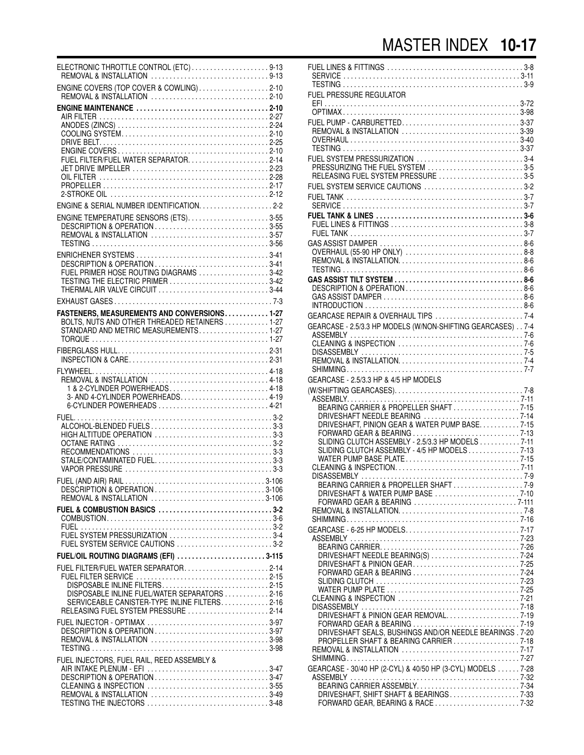| ELECTRONIC THROTTLE CONTROL (ETC)9-13                                                                                                                                |  |
|----------------------------------------------------------------------------------------------------------------------------------------------------------------------|--|
| ENGINE COVERS (TOP COVER & COWLING)2-10                                                                                                                              |  |
| ENGINE MAINTENANCE 2-10                                                                                                                                              |  |
|                                                                                                                                                                      |  |
|                                                                                                                                                                      |  |
|                                                                                                                                                                      |  |
| ENGINE TEMPERATURE SENSORS (ETS)3-55<br>REMOVAL & INSTALLATION 3-57                                                                                                  |  |
| FUEL PRIMER HOSE ROUTING DIAGRAMS 3-42<br>TESTING THE ELECTRIC PRIMER 3-42                                                                                           |  |
| THERMAL AIR VALVE CIRCUIT 3-44                                                                                                                                       |  |
| FASTENERS, MEASUREMENTS AND CONVERSIONS. 1-27                                                                                                                        |  |
| BOLTS, NUTS AND OTHER THREADED RETAINERS  1-27<br>STANDARD AND METRIC MEASUREMENTS1-27                                                                               |  |
|                                                                                                                                                                      |  |
| REMOVAL & INSTALLATION 4-18<br>1 & 2-CYLINDER POWERHEADS4-18<br>3- AND 4-CYLINDER POWERHEADS4-19<br>6-CYLINDER POWERHEADS  4-21                                      |  |
| ALCOHOL-BLENDED FUELS3-3<br>HIGH ALTITUDE OPERATION 3-3<br>STALE/CONTAMINATED FUEL3-3                                                                                |  |
| REMOVAL & INSTALLATION 3-106                                                                                                                                         |  |
| FUEL & COMBUSTION BASICS 3-2<br>FUEL SYSTEM PRESSURIZATION 3-4                                                                                                       |  |
| FUEL SYSTEM SERVICE CAUTIONS 3-2                                                                                                                                     |  |
| FUEL/OIL ROUTING DIAGRAMS (EFI) 3-115<br>FUEL FILTER/FUEL WATER SEPARATOR2-14                                                                                        |  |
| DISPOSABLE INLINE FILTERS2-15<br>DISPOSABLE INLINE FUEL/WATER SEPARATORS 2-16<br>SERVICEABLE CANISTER-TYPE INLINE FILTERS2-16<br>RELEASING FUEL SYSTEM PRESSURE 2-14 |  |
| FUEL INJECTOR - OPTIMAX 3-97<br>DESCRIPTION & OPERATION 3-97<br>REMOVAL & INSTALLATION 3-98                                                                          |  |
| FUEL INJECTORS, FUEL RAIL, REED ASSEMBLY &<br>DESCRIPTION & OPERATION 3-47<br>REMOVAL & INSTALLATION 3-49                                                            |  |

| FUEL PRESSURE REGULATOR                                                                                                      |  |
|------------------------------------------------------------------------------------------------------------------------------|--|
| FUEL PUMP - CARBURETTED3-37<br>REMOVAL & INSTALLATION 3-39                                                                   |  |
| FUEL SYSTEM PRESSURIZATION 3-4<br>PRESSURIZING THE FUEL SYSTEM 3-5                                                           |  |
| RELEASING FUEL SYSTEM PRESSURE 3-5<br>FUEL SYSTEM SERVICE CAUTIONS 3-2                                                       |  |
|                                                                                                                              |  |
|                                                                                                                              |  |
|                                                                                                                              |  |
|                                                                                                                              |  |
| GEARCASE - 2.5/3.3 HP MODELS (W/NON-SHIFTING GEARCASES) 7-4                                                                  |  |
|                                                                                                                              |  |
| GEARCASE - 2.5/3.3 HP & 4/5 HP MODELS                                                                                        |  |
| BEARING CARRIER & PROPELLER SHAFT7-15                                                                                        |  |
| DRIVESHAFT NEEDLE BEARING 7-14<br>DRIVESHAFT, PINION GEAR & WATER PUMP BASE7-15                                              |  |
| SLIDING CLUTCH ASSEMBLY - 2.5/3.3 HP MODELS 7-11<br>SLIDING CLUTCH ASSEMBLY - 4/5 HP MODELS7-13<br>WATER PUMP BASE PLATE7-15 |  |
| BEARING CARRIER & PROPELLER SHAFT7-9                                                                                         |  |
| DRIVESHAFT & WATER PUMP BASE 7-10                                                                                            |  |
|                                                                                                                              |  |
| DRIVESHAFT NEEDLE BEARING(S) 7-24<br>DRIVESHAFT & PINION GEAR7-25<br>FORWARD GEAR & BEARING 7-24                             |  |
|                                                                                                                              |  |
| DRIVESHAFT & PINION GEAR REMOVAL7-19<br>FORWARD GEAR & BEARING 7-19                                                          |  |
| DRIVESHAFT SEALS, BUSHINGS AND/OR NEEDLE BEARINGS . 7-20<br>PROPELLER SHAFT & BEARING CARRIER 7-18                           |  |
| GEARCASE - 30/40 HP (2-CYL) & 40/50 HP (3-CYL) MODELS 7-28                                                                   |  |
| DRIVESHAFT, SHIFT SHAFT & BEARINGS7-33<br>FORWARD GEAR, BEARING & RACE 7-32                                                  |  |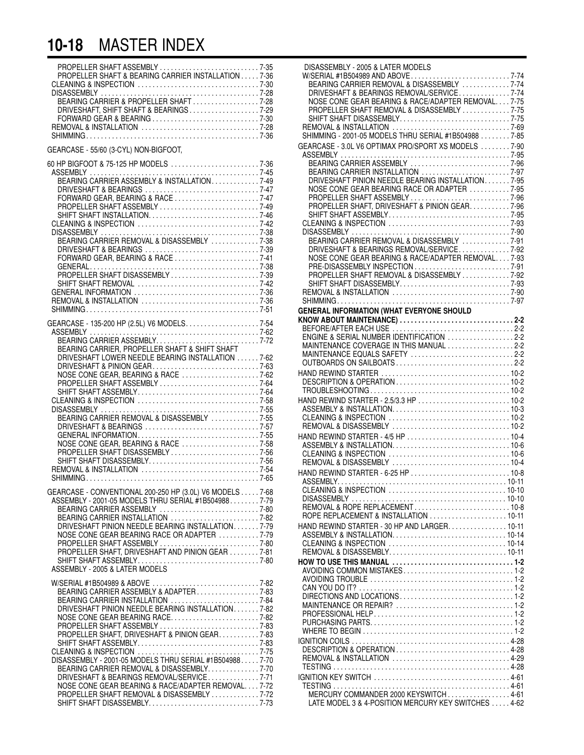#### **10-18** MASTER INDEX

| PROPELLER SHAFT & BEARING CARRIER INSTALLATION 7-36<br>BEARING CARRIER & PROPELLER SHAFT7-28<br>DRIVESHAFT, SHIFT SHAFT & BEARINGS7-29<br>REMOVAL & INSTALLATION 7-28                                                                                                                                                                                                                                                                                                                                |
|------------------------------------------------------------------------------------------------------------------------------------------------------------------------------------------------------------------------------------------------------------------------------------------------------------------------------------------------------------------------------------------------------------------------------------------------------------------------------------------------------|
| GEARCASE - 55/60 (3-CYL) NON-BIGFOOT,                                                                                                                                                                                                                                                                                                                                                                                                                                                                |
| 60 HP BIGFOOT & 75-125 HP MODELS  7-36<br>BEARING CARRIER ASSEMBLY & INSTALLATION7-49<br>PROPELLER SHAFT ASSEMBLY 7-49<br>BEARING CARRIER REMOVAL & DISASSEMBLY 7-38                                                                                                                                                                                                                                                                                                                                 |
| GEARCASE - 135-200 HP (2.5L) V6 MODELS. 7-54<br>BEARING CARRIER, PROPELLER SHAFT & SHIFT SHAFT<br>DRIVESHAFT LOWER NEEDLE BEARING INSTALLATION  7-62<br>DRIVESHAFT & PINION GEAR7-63<br>NOSE CONE GEAR, BEARING & RACE 7-62<br>BEARING CARRIER REMOVAL & DISASSEMBLY 7-55<br>NOSE CONE GEAR, BEARING & RACE 7-58<br>SHIFT SHAFT DISASSEMBLY7-56                                                                                                                                                      |
| GEARCASE - CONVENTIONAL 200-250 HP (3.0L) V6 MODELS 7-68<br>ASSEMBLY - 2001-05 MODELS THRU SERIAL #1B5049887-79<br>BEARING CARRIER INSTALLATION 7-82<br>DRIVESHAFT PINION NEEDLE BEARING INSTALLATION. 7-79<br>NOSE CONE GEAR BEARING RACE OR ADAPTER 7-79<br>PROPELLER SHAFT ASSEMBLY 7-80<br>PROPELLER SHAFT, DRIVESHAFT AND PINION GEAR 7-81<br>ASSEMBLY - 2005 & LATER MODELS                                                                                                                    |
| BEARING CARRIER ASSEMBLY & ADAPTER7-83<br>DRIVESHAFT PINION NEEDLE BEARING INSTALLATION7-82<br>NOSE CONE GEAR BEARING RACE7-82<br>PROPELLER SHAFT, DRIVESHAFT & PINION GEAR7-83<br>SHIFT SHAFT ASSEMBLY7-83<br>DISASSEMBLY - 2001-05 MODELS THRU SERIAL #1B504988 7-70<br>BEARING CARRIER REMOVAL & DISASSEMBLY. 7-70<br>DRIVESHAFT & BEARINGS REMOVAL/SERVICE7-71<br>NOSE CONE GEAR BEARING & RACE/ADAPTER REMOVAL7-72<br>PROPELLER SHAFT REMOVAL & DISASSEMBLY 7-72<br>SHIFT SHAFT DISASSEMBLY7-73 |

| 35             | DISASSEMBLY - 2005 & LATER MODELS                    |  |
|----------------|------------------------------------------------------|--|
| 36             |                                                      |  |
| 30             |                                                      |  |
| 28             | DRIVESHAFT & BEARINGS REMOVAL/SERVICE7-74            |  |
| 28             | NOSE CONE GEAR BEARING & RACE/ADAPTER REMOVAL7-75    |  |
| 29             | PROPELLER SHAFT REMOVAL & DISASSEMBLY 7-75           |  |
| 30             | SHIFT SHAFT DISASSEMBLY7-75                          |  |
| 28             |                                                      |  |
|                | SHIMMING - 2001-05 MODELS THRU SERIAL #1B504988 7-85 |  |
| 36             |                                                      |  |
|                | GEARCASE - 3.0L V6 OPTIMAX PRO/SPORT XS MODELS 7-90  |  |
|                |                                                      |  |
| 36             |                                                      |  |
| 15             | BEARING CARRIER INSTALLATION 7-97                    |  |
| 19             | DRIVESHAFT PINION NEEDLE BEARING INSTALLATION7-95    |  |
| 17             | NOSE CONE GEAR BEARING RACE OR ADAPTER 7-95          |  |
| 17             | PROPELLER SHAFT ASSEMBLY 7-96                        |  |
|                | PROPELLER SHAFT, DRIVESHAFT & PINION GEAR7-96        |  |
| 19             |                                                      |  |
| 16             | SHIFT SHAFT ASSEMBLY7-95                             |  |
| 12             |                                                      |  |
| 38             |                                                      |  |
| 38             | BEARING CARRIER REMOVAL & DISASSEMBLY 7-91           |  |
| 39             | DRIVESHAFT & BEARINGS REMOVAL/SERVICE7-92            |  |
| 11             | NOSE CONE GEAR BEARING & RACE/ADAPTER REMOVAL 7-93   |  |
| 38             |                                                      |  |
| 39             | PROPELLER SHAFT REMOVAL & DISASSEMBLY 7-92           |  |
| 12             | SHIFT SHAFT DISASSEMBLY7-93                          |  |
|                |                                                      |  |
| 36             |                                                      |  |
| 36             |                                                      |  |
| 51             | <b>GENERAL INFORMATION (WHAT EVERYONE SHOULD</b>     |  |
|                |                                                      |  |
| $\frac{1}{2}$  |                                                      |  |
| 52             | ENGINE & SERIAL NUMBER IDENTIFICATION 2-2            |  |
| 72             | MAINTENANCE COVERAGE IN THIS MANUAL 2-2              |  |
|                |                                                      |  |
| 52             | MAINTENANCE EQUALS SAFETY 2-2                        |  |
| 53             |                                                      |  |
| 52             |                                                      |  |
| ì4             |                                                      |  |
| ś4             |                                                      |  |
| 58             | HAND REWIND STARTER - 2.5/3.3 HP  10-2               |  |
|                |                                                      |  |
| 55             |                                                      |  |
| 55             |                                                      |  |
| 57             |                                                      |  |
| 55             |                                                      |  |
| 58             |                                                      |  |
| 56             |                                                      |  |
| 56             |                                                      |  |
| 54             |                                                      |  |
| 55             |                                                      |  |
|                |                                                      |  |
| 58             |                                                      |  |
| 79             |                                                      |  |
| 30             |                                                      |  |
| $\overline{2}$ | ROPE REPLACEMENT & INSTALLATION 10-11                |  |
| 79             | HAND REWIND STARTER - 30 HP AND LARGER. 10-11        |  |
|                |                                                      |  |
| 79             |                                                      |  |
| 30             |                                                      |  |
| 31             |                                                      |  |
| 30             |                                                      |  |
|                | AVOIDING COMMON MISTAKES1-2                          |  |
|                |                                                      |  |
| 32             |                                                      |  |
| 33             |                                                      |  |
| 34             |                                                      |  |
| $\overline{2}$ |                                                      |  |
| $^{32}$        |                                                      |  |
| 33             |                                                      |  |
| 33             |                                                      |  |
| 33             |                                                      |  |
|                |                                                      |  |
| 75             | REMOVAL & INSTALLATION  4-29                         |  |
| 70             |                                                      |  |
| 70             |                                                      |  |
| 71             |                                                      |  |
| 72             |                                                      |  |
| 72             | MERCURY COMMANDER 2000 KEYSWITCH4-61                 |  |
| 73             | LATE MODEL 3 & 4-POSITION MERCURY KEY SWITCHES 4-62  |  |
|                |                                                      |  |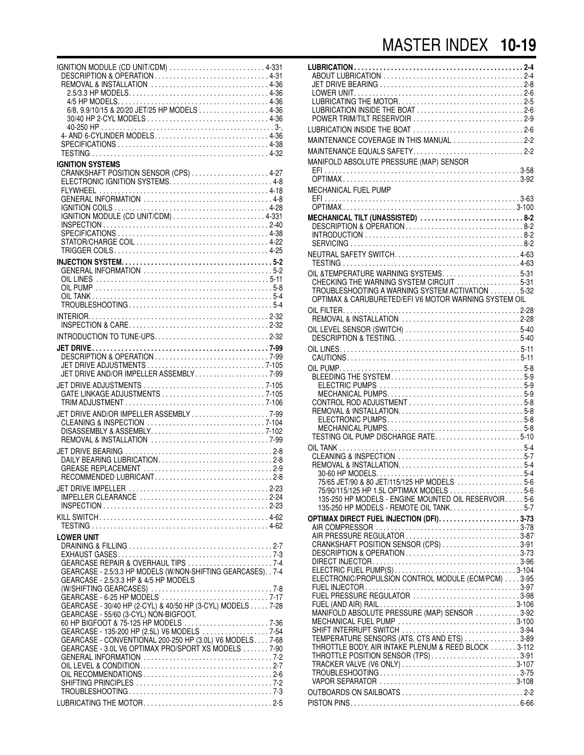| IGNITION MODULE (CD UNIT/CDM) 4-331<br>DESCRIPTION & OPERATION4-31<br>REMOVAL & INSTALLATION 4-36<br>4- AND 6-CYLINDER MODELS 4-36                                                                              |  |
|-----------------------------------------------------------------------------------------------------------------------------------------------------------------------------------------------------------------|--|
| <b>IGNITION SYSTEMS</b><br>ELECTRONIC IGNITION SYSTEMS 4-8                                                                                                                                                      |  |
|                                                                                                                                                                                                                 |  |
| INTRODUCTION TO TUNE-UPS2-32                                                                                                                                                                                    |  |
| JET DRIVE AND/OR IMPELLER ASSEMBLY7-99                                                                                                                                                                          |  |
| JET DRIVE AND/OR IMPELLER ASSEMBLY 7-99                                                                                                                                                                         |  |
|                                                                                                                                                                                                                 |  |
|                                                                                                                                                                                                                 |  |
| IMPELLER CLEARANCE 2-24                                                                                                                                                                                         |  |
|                                                                                                                                                                                                                 |  |
| LOWER UNIT<br>GEARCASE REPAIR & OVERHAUL TIPS 7-4<br>GEARCASE - 2.5/3.3 HP MODELS (W/NON-SHIFTING GEARCASES). . 7-4<br>GEARCASE - 2.5/3.3 HP & 4/5 HP MODELS                                                    |  |
| GEARCASE - 30/40 HP (2-CYL) & 40/50 HP (3-CYL) MODELS 7-28<br>GEARCASE - 55/60 (3-CYL) NON-BIGFOOT,<br>GEARCASE - 135-200 HP (2.5L) V6 MODELS  7-54<br>GEARCASE - CONVENTIONAL 200-250 HP (3.0L) V6 MODELS 7-68 |  |
| GEARCASE - 3.0L V6 OPTIMAX PRO/SPORT XS MODELS 7-90                                                                                                                                                             |  |
|                                                                                                                                                                                                                 |  |

| LUBRICATION INSIDE THE BOAT 2-6<br>POWER TRIM/TILT RESERVOIR 2-9                                          |  |
|-----------------------------------------------------------------------------------------------------------|--|
| LUBRICATION INSIDE THE BOAT 2-6                                                                           |  |
| MAINTENANCE COVERAGE IN THIS MANUAL 2-2<br>MAINTENANCE EQUALS SAFETY2-2                                   |  |
| MANIFOLD ABSOLUTE PRESSURE (MAP) SENSOR                                                                   |  |
| MECHANICAL FUEL PUMP                                                                                      |  |
|                                                                                                           |  |
| MECHANICAL TILT (UNASSISTED) 8-2                                                                          |  |
|                                                                                                           |  |
|                                                                                                           |  |
| OIL & TEMPERATURE WARNING SYSTEMS5-31<br>CHECKING THE WARNING SYSTEM CIRCUIT 5-31                         |  |
| TROUBLESHOOTING A WARNING SYSTEM ACTIVATION 5-32<br>OPTIMAX & CARUBURETED/EFI V6 MOTOR WARNING SYSTEM OIL |  |
|                                                                                                           |  |
| OIL LEVEL SENSOR (SWITCH) 5-40                                                                            |  |
|                                                                                                           |  |
|                                                                                                           |  |
|                                                                                                           |  |
| CONTROL ROD ADJUSTMENT 5-8                                                                                |  |
|                                                                                                           |  |
| TESTING OIL PUMP DISCHARGE RATE5-10                                                                       |  |
|                                                                                                           |  |
| 75/65 JET/90 & 80 JET/115/125 HP MODELS 5-6                                                               |  |
| 135-250 HP MODELS - ENGINE MOUNTED OIL RESERVOIR 5-6                                                      |  |
| 135-250 HP MODELS - REMOTE OIL TANK5-7                                                                    |  |
|                                                                                                           |  |
| AIR PRESSURE REGULATOR 3-87<br>CRANKSHAFT POSITION SENSOR (CPS) 3-91                                      |  |
| DESCRIPTION & OPERATION3-73                                                                               |  |
| ELECTRONIC/PROPULSIÓN CONTROL MODULE (ECM/PCM) 3-95                                                       |  |
| FUEL PRESSURE REGULATOR 3-98                                                                              |  |
| MANIFOLD ABSOLUTE PRESSURE (MAP) SENSOR 3-92                                                              |  |
| SHIFT INTERRUPT SWITCH 3-94<br>TEMPERATURE SENSORS (ATS, CTS AND ETS) 3-89                                |  |
| THROTTLE BODY, AIR INTAKE PLENUM & REED BLOCK 3-112<br>THROTTLE POSITION SENSOR (TPS)3-91                 |  |
|                                                                                                           |  |
|                                                                                                           |  |
|                                                                                                           |  |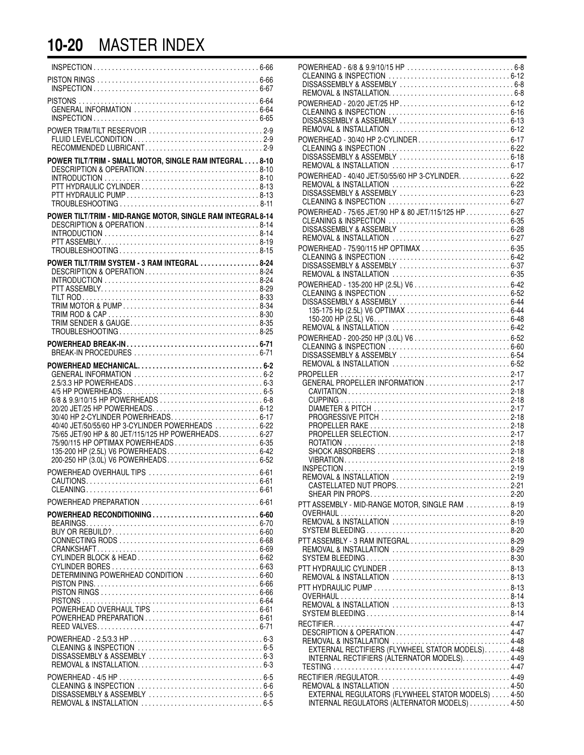### **10-20** MASTER INDEX

| RECOMMENDED LUBRICANT2-9                                                                                                                                                                                                                                                |  |
|-------------------------------------------------------------------------------------------------------------------------------------------------------------------------------------------------------------------------------------------------------------------------|--|
| POWER TILT/TRIM - SMALL MOTOR, SINGLE RAM INTEGRAL 8-10<br>DESCRIPTION & OPERATION8-10                                                                                                                                                                                  |  |
| POWER TILT/TRIM - MID-RANGE MOTOR, SINGLE RAM INTEGRAL 8-14<br>DESCRIPTION & OPERATION8-14                                                                                                                                                                              |  |
| POWER TILT/TRIM SYSTEM - 3 RAM INTEGRAL  8-24                                                                                                                                                                                                                           |  |
|                                                                                                                                                                                                                                                                         |  |
| 30/40 HP 2-CYLINDER POWERHEADS 6-17<br>40/40 JET/50/55/60 HP 3-CYLINDER POWERHEADS  6-22<br>75/65 JET/90 HP & 80 JET/115/125 HP POWERHEADS 6-27<br>75/90/115 HP OPTIMAX POWERHEADS 6-35<br>135-200 HP (2.5L) V6 POWERHEADS 6-42<br>200-250 HP (3.0L) V6 POWERHEADS 6-52 |  |
|                                                                                                                                                                                                                                                                         |  |
|                                                                                                                                                                                                                                                                         |  |
| POWERHEAD RECONDITIONING  6-60<br>DETERMINING POWERHEAD CONDITION  6-60<br>POWERHEAD OVERHAUL TIPS  6-61                                                                                                                                                                |  |
|                                                                                                                                                                                                                                                                         |  |
|                                                                                                                                                                                                                                                                         |  |

| POWERHEAD - 30/40 HP 2-CYLINDER 6-17                                                             |  |
|--------------------------------------------------------------------------------------------------|--|
| POWERHEAD - 40/40 JET/50/55/60 HP 3-CYLINDER. 6-22                                               |  |
|                                                                                                  |  |
| POWERHEAD - 75/65 JET/90 HP & 80 JET/115/125 HP 6-27                                             |  |
| POWERHEAD - 75/90/115 HP OPTIMAX  6-35                                                           |  |
|                                                                                                  |  |
|                                                                                                  |  |
|                                                                                                  |  |
|                                                                                                  |  |
| GENERAL PROPELLER INFORMATION 2-17                                                               |  |
| PROGRESSIVE PITCH 2-18                                                                           |  |
| PROPELLER SELECTION2-17                                                                          |  |
|                                                                                                  |  |
| REMOVAL & INSTALLATION 2-19<br>CASTELLATED NUT PROPS2-21                                         |  |
| PTT ASSEMBLY - MID-RANGE MOTOR, SINGLE RAM 8-19                                                  |  |
| REMOVAL & INSTALLATION 8-19<br>PTT ASSEMBLY - 3 RAM INTEGRAL 8-29                                |  |
| REMOVAL & INSTALLATION 8-29<br>PTT HYDRAULIC CYLINDER 8-13                                       |  |
| REMOVAL & INSTALLATION 8-13                                                                      |  |
| REMOVAL & INSTALLATION 8-13                                                                      |  |
|                                                                                                  |  |
| EXTERNAL RECTIFIERS (FLYWHEEL STATOR MODELS) 4-48<br>INTERNAL RECTIFIERS (ALTERNATOR MODELS)4-49 |  |
| REMOVAL & INSTALLATION 4-50<br>EXTERNAL REGULATORS (FLYWHEEL STATOR MODELS) 4-50                 |  |
| INTERNAL REGULATORS (ALTERNATOR MODELS)  4-50                                                    |  |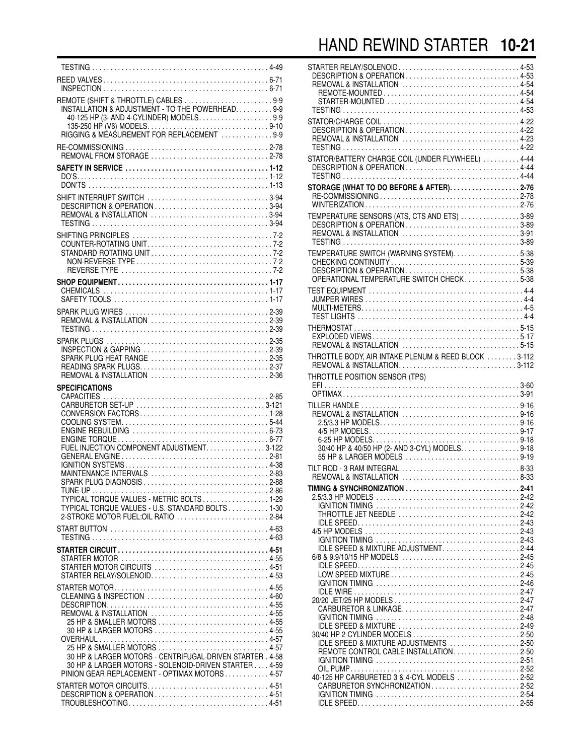### HAND REWIND STARTER **10-21**

| REMOTE (SHIFT & THROTTLE) CABLES 9-9<br>INSTALLATION & ADJUSTMENT - TO THE POWERHEAD. 9-9                                                                                                                                                                              |  |
|------------------------------------------------------------------------------------------------------------------------------------------------------------------------------------------------------------------------------------------------------------------------|--|
|                                                                                                                                                                                                                                                                        |  |
|                                                                                                                                                                                                                                                                        |  |
| SHIFT INTERRUPT SWITCH 3-94                                                                                                                                                                                                                                            |  |
|                                                                                                                                                                                                                                                                        |  |
|                                                                                                                                                                                                                                                                        |  |
| REMOVAL & INSTALLATION 2-39                                                                                                                                                                                                                                            |  |
| SPARK PLUG HEAT RANGE 2-35<br>REMOVAL & INSTALLATION 2-36                                                                                                                                                                                                              |  |
| <b>SPECIFICATIONS</b><br>FUEL INJECTION COMPONENT ADJUSTMENT. 3-122<br>MAINTENANCE INTERVALS 2-83<br>SPARK PLUG DIAGNOSIS 2-88<br>TYPICAL TORQUE VALUES - METRIC BOLTS 1-29<br>TYPICAL TORQUE VALUES - U.S. STANDARD BOLTS 1-30<br>2-STROKE MOTOR FUEL: OIL RATIO 2-84 |  |
|                                                                                                                                                                                                                                                                        |  |
| STARTER MOTOR CIRCUITS 4-51<br>STARTER RELAY/SOLENOID4-53                                                                                                                                                                                                              |  |
| CLEANING & INSPECTION 4-60<br>REMOVAL & INSTALLATION 4-55<br>25 HP & SMALLER MOTORS 4-55<br>30 HP & LARGER MOTORS  4-55                                                                                                                                                |  |
| 25 HP & SMALLER MOTORS 4-57<br>30 HP & LARGER MOTORS - CENTRIFUGAL-DRIVEN STARTER . 4-58<br>30 HP & LARGER MOTORS - SOLENOID-DRIVEN STARTER 4-59<br>PINION GEAR REPLACEMENT - OPTIMAX MOTORS 4-57<br>STARTER MOTOR CIRCUITS4-51<br>DESCRIPTION & OPERATION 4-51        |  |

| STARTER RELAY/SOLENOID4-53<br>DESCRIPTION & OPERATION4-53<br>REMOVAL & INSTALLATION 4-54<br>STARTER-MOUNTED 4-54 |  |
|------------------------------------------------------------------------------------------------------------------|--|
| DESCRIPTION & OPERATION4-22<br>REMOVAL & INSTALLATION 4-23                                                       |  |
| STATOR/BATTERY CHARGE COIL (UNDER FLYWHEEL) 444<br>DESCRIPTION & OPERATION 4-44                                  |  |
| STORAGE (WHAT TO DO BEFORE & AFTER). $\ldots$ . 2-76                                                             |  |
| TEMPERATURE SENSORS (ATS, CTS AND ETS) 3-89<br>DESCRIPTION & OPERATION3-89<br>REMOVAL & INSTALLATION 3-91        |  |
| TEMPERATURE SWITCH (WARNING SYSTEM)5-38                                                                          |  |
|                                                                                                                  |  |
|                                                                                                                  |  |
| THROTTLE BODY, AIR INTAKE PLENUM & REED BLOCK 3-112<br>THROTTLE POSITION SENSOR (TPS)                            |  |
|                                                                                                                  |  |
| 30/40 HP & 40/50 HP (2- AND 3-CYL) MODELS. 9-18                                                                  |  |
| TILT ROD - 3 RAM INTEGRAL 8-33<br>REMOVAL & INSTALLATION 8-33                                                    |  |
| TIMING & SYNCHRONIZATION 2-41                                                                                    |  |
| THROTTLE JET NEEDLE 2-42                                                                                         |  |
| IDLE SPEED & MIXTURE ADJUSTMENT2-44                                                                              |  |
| CARBURETOR & LINKAGE2-47                                                                                         |  |
| IDLE SPEED & MIXTURE 2-49<br>IDLE SPEED & MIXTURE ADJUSTMENTS 2-50<br>REMOTE CONTROL CABLE INSTALLATION2-50      |  |
| 40-125 HP CARBURETED 3 & 4-CYL MODELS 2-52                                                                       |  |
|                                                                                                                  |  |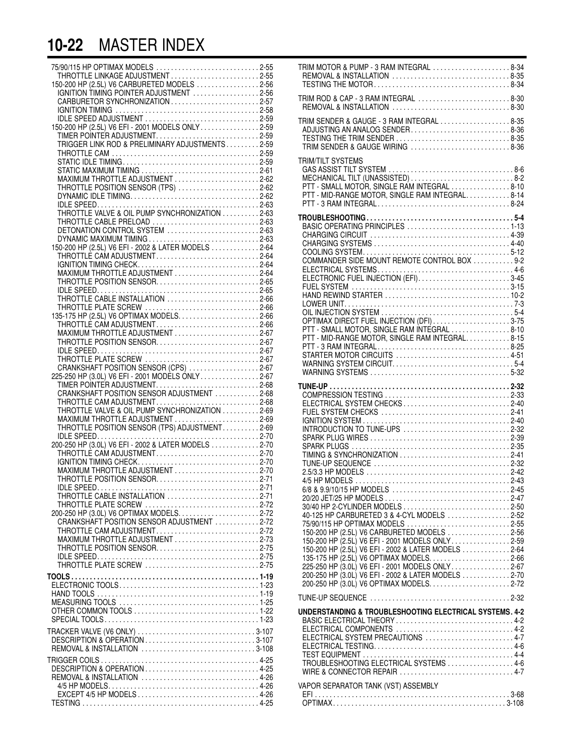### **10-22** MASTER INDEX

| 75/90/115 HP OPTIMAX MODELS 2-55                                           |  |
|----------------------------------------------------------------------------|--|
| THROTTLE LINKAGE ADJUSTMENT2-55                                            |  |
| 150-200 HP (2.5L) V6 CARBURETED MODELS 2-56                                |  |
| IGNITION TIMING POINTER ADJUSTMENT 2-56<br>CARBURETOR SYNCHRONIZATION 2-57 |  |
|                                                                            |  |
|                                                                            |  |
|                                                                            |  |
|                                                                            |  |
|                                                                            |  |
|                                                                            |  |
|                                                                            |  |
|                                                                            |  |
| THROTTLE POSITION SENSOR (TPS) 2-62                                        |  |
|                                                                            |  |
|                                                                            |  |
|                                                                            |  |
| THROTTLE CABLE PRELOAD 2-63<br>DETONATION CONTROL SYSTEM 2-63              |  |
|                                                                            |  |
|                                                                            |  |
|                                                                            |  |
|                                                                            |  |
| MAXIMUM THROTTLE ADJUSTMENT 2-64                                           |  |
| THROTTLE POSITION SENSOR2-65                                               |  |
|                                                                            |  |
|                                                                            |  |
|                                                                            |  |
|                                                                            |  |
|                                                                            |  |
| THROTTLE POSITION SENSOR2-67                                               |  |
|                                                                            |  |
| CRANKSHAFT POSITION SENSOR (CPS) 2-67                                      |  |
| 225-250 HP (3.0L) V6 EFI - 2001 MODÈLS ÓNLY2-67                            |  |
|                                                                            |  |
|                                                                            |  |
| THROTTLE CAM ADJUSTMENT2-68                                                |  |
| THROTTLE VALVE & OIL PUMP SYNCHRONIZATION 2-69                             |  |
|                                                                            |  |
| THROTTLE POSITION SENSOR (TPS) ADJUSTMENT2-69                              |  |
| 200-250 HP (3.0L) V6 EFI - 2002 & LATER MODELS 2-70                        |  |
| THROTTLE CAM ADJUSTMENT2-70                                                |  |
|                                                                            |  |
|                                                                            |  |
| THROTTLE POSITION SENSOR2-71                                               |  |
| IDI E SPEED<br>THROTTLE CABLE INSTALLATION 2-71                            |  |
| THROTTLE PLATE SCREW 2-72                                                  |  |
|                                                                            |  |
| CRANKSHAFT POSITION SENSOR ADJUSTMENT 2-72                                 |  |
| THROTTLE CAM ADJUSTMENT2-72                                                |  |
| MAXIMUM THROTTLE ADJUSTMENT 2-73                                           |  |
| THROTTLE POSITION SENSOR2-75                                               |  |
| THROTTLE PLATE SCREW 2-75                                                  |  |
|                                                                            |  |
|                                                                            |  |
|                                                                            |  |
|                                                                            |  |
|                                                                            |  |
|                                                                            |  |
|                                                                            |  |
|                                                                            |  |
|                                                                            |  |
|                                                                            |  |
|                                                                            |  |
| REMOVAL & INSTALLATION 4-26                                                |  |
|                                                                            |  |
|                                                                            |  |
|                                                                            |  |

| TRIM MOTOR & PUMP - 3 RAM INTEGRAL 8-34<br>REMOVAL & INSTALLATION 8-35<br>TESTING THE MOTOR8-34                                                                                                                                                                                                                                                                                                                       |  |
|-----------------------------------------------------------------------------------------------------------------------------------------------------------------------------------------------------------------------------------------------------------------------------------------------------------------------------------------------------------------------------------------------------------------------|--|
| TRIM ROD & CAP - 3 RAM INTEGRAL 8-30<br>REMOVAL & INSTALLATION 8-30                                                                                                                                                                                                                                                                                                                                                   |  |
| TRIM SENDER & GAUGE - 3 RAM INTEGRAL 8-35<br>ADJUSTING AN ANALOG SENDER8-36<br>TRIM SENDER & GAUGE WIRING 8-36                                                                                                                                                                                                                                                                                                        |  |
| <b>TRIM/TILT SYSTEMS</b><br>MECHANICAL TILT (UNASSISTED)  8-2<br>PTT - SMALL MOTOR, SINGLE RAM INTEGRAL 8-10<br>PTT - MID-RANGE MOTOR, SINGLE RAM INTEGRAL8-14                                                                                                                                                                                                                                                        |  |
| BASIC OPERATING PRINCIPLES  1-13<br>COMMANDER SIDE MOUNT REMOTE CONTROL BOX  9-2<br>ELECTRONIC FUEL INJECTION (EFI)3-45<br>OPTIMAX DIRECT FUEL INJECTION (DFI) 3-75<br>PTT - SMALL MOTOR, SINGLE RAM INTEGRAL 8-10<br>PTT - MID-RANGE MOTOR, SINGLE RAM INTEGRAL8-15<br>PTT - 3 RAM INTEGRAL8-25<br>STARTER MOTOR CIRCUITS 4-51                                                                                       |  |
| COMPRESSION TESTING 2-33<br>ELECTRICAL SYSTEM CHECKS2-40<br>FUEL SYSTEM CHECKS 2-41<br>INTRODUCTION TO TUNE-UPS 2-32                                                                                                                                                                                                                                                                                                  |  |
| TIMING & SYNCHRONIZATION 2-41<br>30/40 HP 2-CYLINDER MODELS 2-50<br>40-125 HP CARBURETED 3 & 4-CYL MODELS 2-52<br>75/90/115 HP OPTIMAX MODELS 2-55<br>150-200 HP (2.5L) V6 CARBURETED MODELS 2-56<br>150-200 HP (2.5L) V6 EFI - 2001 MODELS ONLY2-59<br>150-200 HP (2.5L) V6 EFI - 2002 & LATER MODELS 2-64<br>225-250 HP (3.0L) V6 EFI - 2001 MODELS ONLY2-67<br>200-250 HP (3.0L) V6 EFI - 2002 & LATER MODELS 2-70 |  |
|                                                                                                                                                                                                                                                                                                                                                                                                                       |  |
| UNDERSTANDING & TROUBLESHOOTING ELECTRICAL SYSTEMS. 4-2<br>BASIC ELECTRICAL THEORY  4-2<br>ELECTRICAL SYSTEM PRECAUTIONS 4-7<br>TROUBLESHOOTING ELECTRICAL SYSTEMS  4-6<br>VAPOR SEPARATOR TANK (VST) ASSEMBLY                                                                                                                                                                                                        |  |